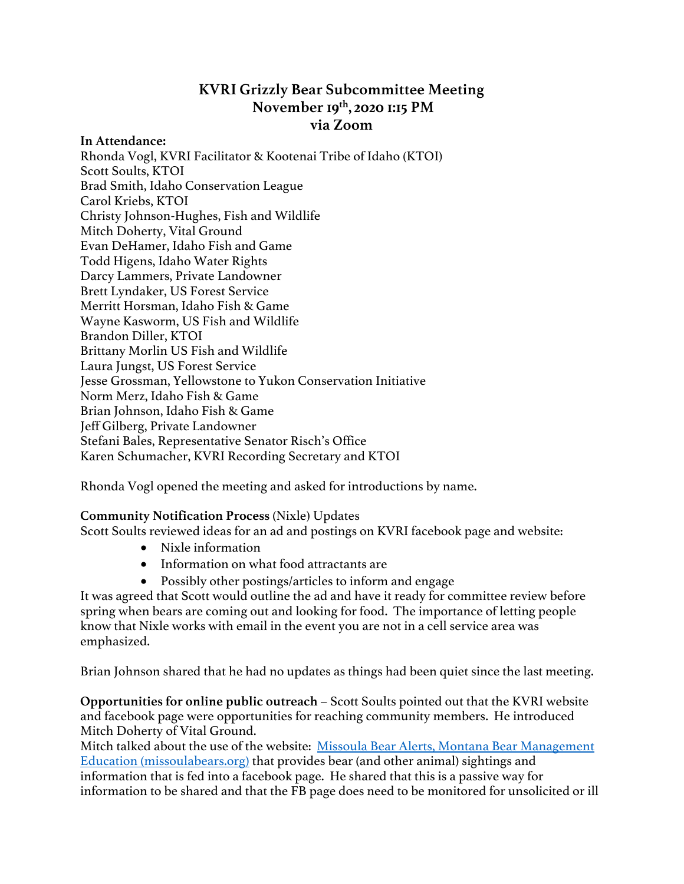# **KVRI Grizzly Bear Subcommittee Meeting November 19th, 2020 1:15 PM via Zoom**

**In Attendance:** Rhonda Vogl, KVRI Facilitator & Kootenai Tribe of Idaho (KTOI) Scott Soults, KTOI Brad Smith, Idaho Conservation League Carol Kriebs, KTOI Christy Johnson-Hughes, Fish and Wildlife Mitch Doherty, Vital Ground Evan DeHamer, Idaho Fish and Game Todd Higens, Idaho Water Rights Darcy Lammers, Private Landowner Brett Lyndaker, US Forest Service Merritt Horsman, Idaho Fish & Game Wayne Kasworm, US Fish and Wildlife Brandon Diller, KTOI Brittany Morlin US Fish and Wildlife Laura Jungst, US Forest Service Jesse Grossman, Yellowstone to Yukon Conservation Initiative Norm Merz, Idaho Fish & Game Brian Johnson, Idaho Fish & Game Jeff Gilberg, Private Landowner Stefani Bales, Representative Senator Risch's Office Karen Schumacher, KVRI Recording Secretary and KTOI

Rhonda Vogl opened the meeting and asked for introductions by name.

### **Community Notification Process** (Nixle) Updates

Scott Soults reviewed ideas for an ad and postings on KVRI facebook page and website:

- Nixle information
- Information on what food attractants are
- Possibly other postings/articles to inform and engage

It was agreed that Scott would outline the ad and have it ready for committee review before spring when bears are coming out and looking for food. The importance of letting people know that Nixle works with email in the event you are not in a cell service area was emphasized.

Brian Johnson shared that he had no updates as things had been quiet since the last meeting.

**Opportunities for online public outreach** – Scott Soults pointed out that the KVRI website and facebook page were opportunities for reaching community members. He introduced Mitch Doherty of Vital Ground.

Mitch talked about the use of the website: Missoula Bear Alerts, Montana Bear Management Education (missoulabears.org) that provides bear (and other animal) sightings and information that is fed into a facebook page. He shared that this is a passive way for information to be shared and that the FB page does need to be monitored for unsolicited or ill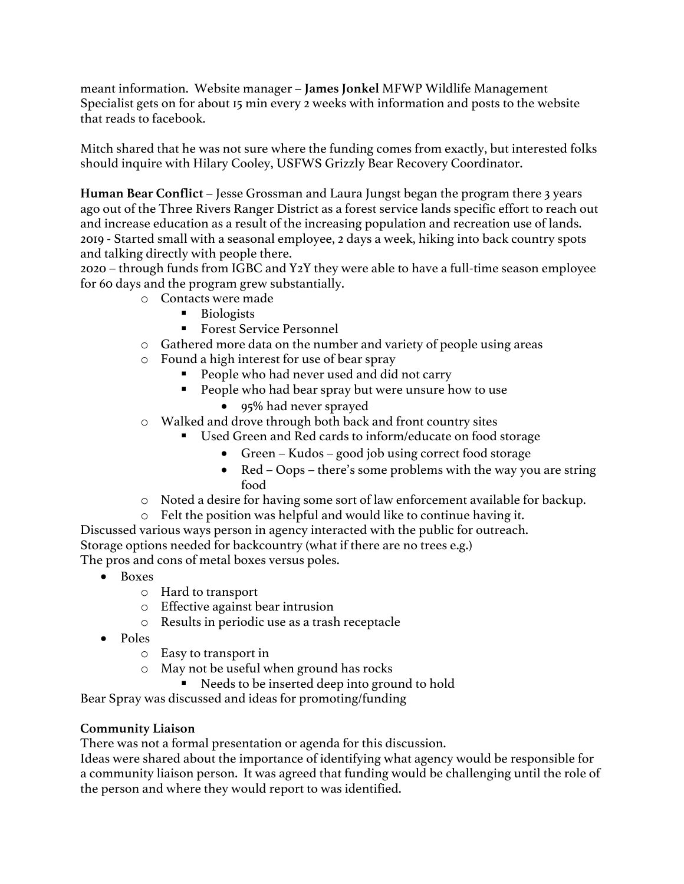meant information. Website manager – **James Jonkel** MFWP Wildlife Management Specialist gets on for about 15 min every 2 weeks with information and posts to the website that reads to facebook.

Mitch shared that he was not sure where the funding comes from exactly, but interested folks should inquire with Hilary Cooley, USFWS Grizzly Bear Recovery Coordinator.

**Human Bear Conflict** – Jesse Grossman and Laura Jungst began the program there 3 years ago out of the Three Rivers Ranger District as a forest service lands specific effort to reach out and increase education as a result of the increasing population and recreation use of lands. 2019 - Started small with a seasonal employee, 2 days a week, hiking into back country spots and talking directly with people there.

2020 – through funds from IGBC and Y2Y they were able to have a full-time season employee for 60 days and the program grew substantially.

- o Contacts were made
	- Biologists
	- Forest Service Personnel
- o Gathered more data on the number and variety of people using areas
- o Found a high interest for use of bear spray
	- § People who had never used and did not carry
	- People who had bear spray but were unsure how to use
		- 95% had never sprayed
- o Walked and drove through both back and front country sites
	- Used Green and Red cards to inform/educate on food storage
		- Green Kudos good job using correct food storage
		- Red Oops there's some problems with the way you are string food
- o Noted a desire for having some sort of law enforcement available for backup.
- o Felt the position was helpful and would like to continue having it.

Discussed various ways person in agency interacted with the public for outreach. Storage options needed for backcountry (what if there are no trees e.g.) The pros and cons of metal boxes versus poles.

- Boxes
	- o Hard to transport
	- o Effective against bear intrusion
	- o Results in periodic use as a trash receptacle
- Poles
	- o Easy to transport in
	- o May not be useful when ground has rocks
		- Needs to be inserted deep into ground to hold

Bear Spray was discussed and ideas for promoting/funding

### **Community Liaison**

There was not a formal presentation or agenda for this discussion.

Ideas were shared about the importance of identifying what agency would be responsible for a community liaison person. It was agreed that funding would be challenging until the role of the person and where they would report to was identified.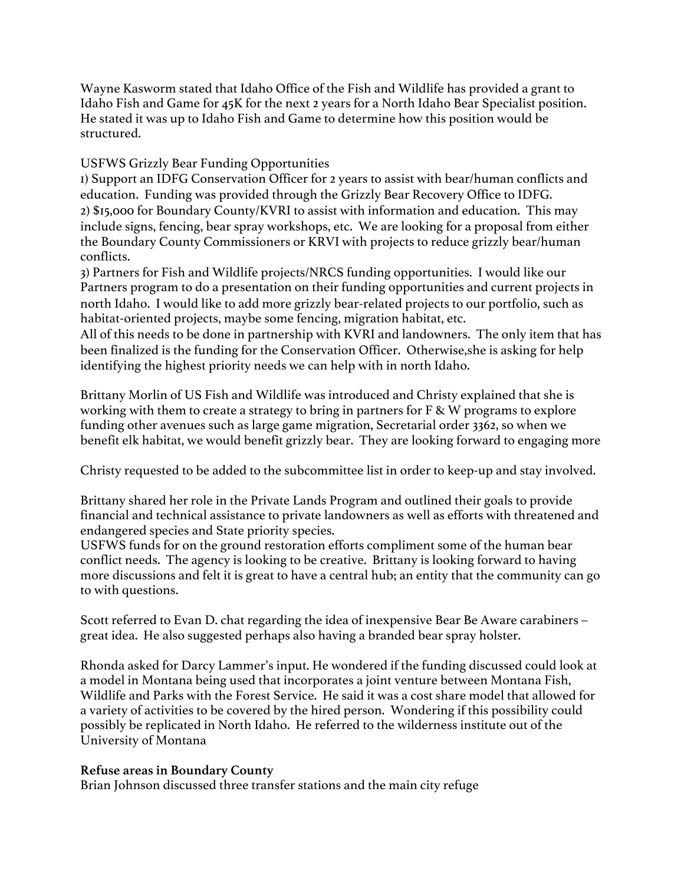Wayne Kasworm stated that Idaho Office of the Fish and Wildlife has provided a grant to Idaho Fish and Game for 45K for the next 2 years for a North Idaho Bear Specialist position. He stated it was up to Idaho Fish and Game to determine how this position would be structured.

## USFWS Grizzly Bear Funding Opportunities

1) Support an IDFG Conservation Officer for 2 years to assist with bear/human conflicts and education. Funding was provided through the Grizzly Bear Recovery Office to IDFG. 2) \$15,000 for Boundary County/KVRI to assist with information and education. This may include signs, fencing, bear spray workshops, etc. We are looking for a proposal from either the Boundary County Commissioners or KRVI with projects to reduce grizzly bear/human conflicts.

3) Partners for Fish and Wildlife projects/NRCS funding opportunities. I would like our Partners program to do a presentation on their funding opportunities and current projects in north Idaho. I would like to add more grizzly bear-related projects to our portfolio, such as habitat-oriented projects, maybe some fencing, migration habitat, etc.

All of this needs to be done in partnership with KVRI and landowners. The only item that has been finalized is the funding for the Conservation Officer. Otherwise,she is asking for help identifying the highest priority needs we can help with in north Idaho.

Brittany Morlin of US Fish and Wildlife was introduced and Christy explained that she is working with them to create a strategy to bring in partners for F & W programs to explore funding other avenues such as large game migration, Secretarial order 3362, so when we benefit elk habitat, we would benefit grizzly bear. They are looking forward to engaging more

Christy requested to be added to the subcommittee list in order to keep-up and stay involved.

Brittany shared her role in the Private Lands Program and outlined their goals to provide financial and technical assistance to private landowners as well as efforts with threatened and endangered species and State priority species.

USFWS funds for on the ground restoration efforts compliment some of the human bear conflict needs. The agency is looking to be creative. Brittany is looking forward to having more discussions and felt it is great to have a central hub; an entity that the community can go to with questions.

Scott referred to Evan D. chat regarding the idea of inexpensive Bear Be Aware carabiners – great idea. He also suggested perhaps also having a branded bear spray holster.

Rhonda asked for Darcy Lammer's input. He wondered if the funding discussed could look at a model in Montana being used that incorporates a joint venture between Montana Fish, Wildlife and Parks with the Forest Service. He said it was a cost share model that allowed for a variety of activities to be covered by the hired person. Wondering if this possibility could possibly be replicated in North Idaho. He referred to the wilderness institute out of the University of Montana

### **Refuse areas in Boundary County**

Brian Johnson discussed three transfer stations and the main city refuge